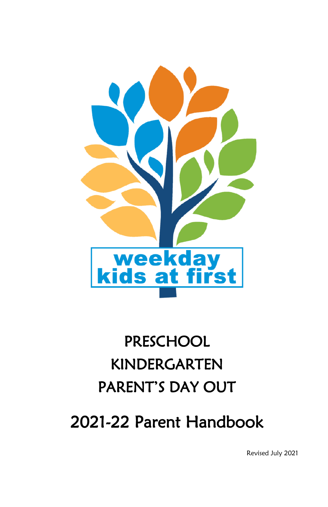

# PRESCHOOL KINDERGARTEN PARENT'S DAY OUT

2021-22 Parent Handbook

Revised July 2021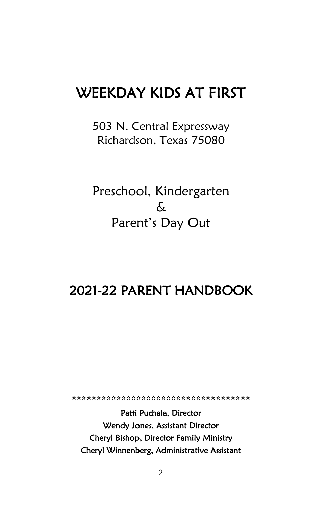# WEEKDAY KIDS AT FIRST

503 N. Central Expressway Richardson, Texas 75080

Preschool, Kindergarten  $\mathcal{L}$ Parent's Day Out

## 2021-22 PARENT HANDBOOK

\*\*\*\*\*\*\*\*\*\*\*\*\*\*\*\*\*\*\*\*\*\*\*\*\*\*\*\*\*\*\*

Patti Puchala, Director Wendy Jones, Assistant Director Cheryl Bishop, Director Family Ministry Cheryl Winnenberg, Administrative Assistant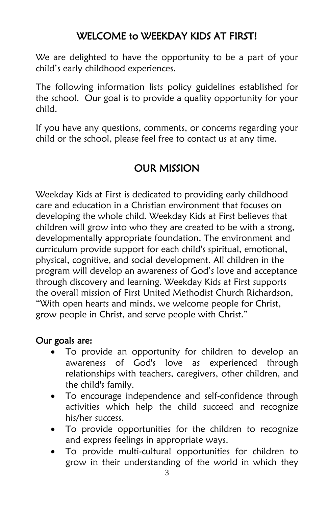We are delighted to have the opportunity to be a part of your child's early childhood experiences.

The following information lists policy guidelines established for the school. Our goal is to provide a quality opportunity for your child.

If you have any questions, comments, or concerns regarding your child or the school, please feel free to contact us at any time.

## OUR MISSION

Weekday Kids at First is dedicated to providing early childhood care and education in a Christian environment that focuses on developing the whole child. Weekday Kids at First believes that children will grow into who they are created to be with a strong, developmentally appropriate foundation. The environment and curriculum provide support for each child's spiritual, emotional, physical, cognitive, and social development. All children in the program will develop an awareness of God's love and acceptance through discovery and learning. Weekday Kids at First supports the overall mission of First United Methodist Church Richardson, "With open hearts and minds, we welcome people for Christ, grow people in Christ, and serve people with Christ."

#### Our goals are:

- To provide an opportunity for children to develop an awareness of God's love as experienced through relationships with teachers, caregivers, other children, and the child's family.
- To encourage independence and self-confidence through activities which help the child succeed and recognize his/her success.
- To provide opportunities for the children to recognize and express feelings in appropriate ways.
- To provide multi-cultural opportunities for children to grow in their understanding of the world in which they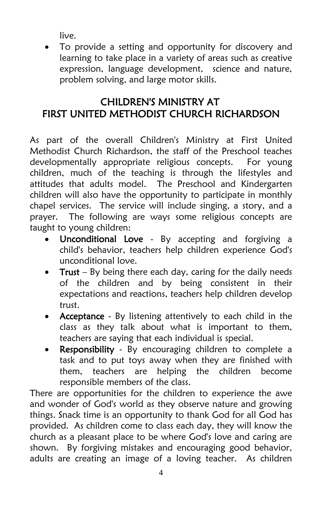live.

 To provide a setting and opportunity for discovery and learning to take place in a variety of areas such as creative expression, language development, science and nature, problem solving, and large motor skills.

## CHILDREN'S MINISTRY AT FIRST UNITED METHODIST CHURCH RICHARDSON

As part of the overall Children's Ministry at First United Methodist Church Richardson, the staff of the Preschool teaches developmentally appropriate religious concepts. For young children, much of the teaching is through the lifestyles and attitudes that adults model. The Preschool and Kindergarten children will also have the opportunity to participate in monthly chapel services. The service will include singing, a story, and a prayer. The following are ways some religious concepts are taught to young children:

- Unconditional Love By accepting and forgiving a child's behavior, teachers help children experience God's unconditional love.
- Trust By being there each day, caring for the daily needs of the children and by being consistent in their expectations and reactions, teachers help children develop trust.
- Acceptance By listening attentively to each child in the class as they talk about what is important to them, teachers are saying that each individual is special.
- Responsibility By encouraging children to complete a task and to put toys away when they are finished with them, teachers are helping the children become responsible members of the class.

There are opportunities for the children to experience the awe and wonder of God's world as they observe nature and growing things. Snack time is an opportunity to thank God for all God has provided. As children come to class each day, they will know the church as a pleasant place to be where God's love and caring are shown. By forgiving mistakes and encouraging good behavior, adults are creating an image of a loving teacher. As children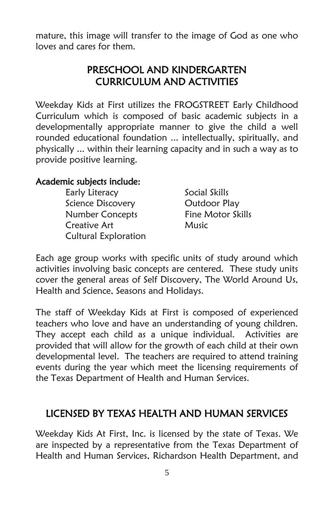mature, this image will transfer to the image of God as one who loves and cares for them.

## PRESCHOOL AND KINDERGARTEN CURRICULUM AND ACTIVITIES

Weekday Kids at First utilizes the FROGSTREET Early Childhood Curriculum which is composed of basic academic subjects in a developmentally appropriate manner to give the child a well rounded educational foundation ... intellectually, spiritually, and physically ... within their learning capacity and in such a way as to provide positive learning.

#### Academic subjects include:

| Early Literacy              | Social Skills     |
|-----------------------------|-------------------|
| Science Discovery           | Outdoor Play      |
| Number Concepts             | Fine Motor Skills |
| Creative Art                | Music             |
| <b>Cultural Exploration</b> |                   |

Each age group works with specific units of study around which activities involving basic concepts are centered. These study units cover the general areas of Self Discovery, The World Around Us, Health and Science, Seasons and Holidays.

The staff of Weekday Kids at First is composed of experienced teachers who love and have an understanding of young children. They accept each child as a unique individual. Activities are provided that will allow for the growth of each child at their own developmental level. The teachers are required to attend training events during the year which meet the licensing requirements of the Texas Department of Health and Human Services.

## LICENSED BY TEXAS HEALTH AND HUMAN SERVICES

Weekday Kids At First, Inc. is licensed by the state of Texas. We are inspected by a representative from the Texas Department of Health and Human Services, Richardson Health Department, and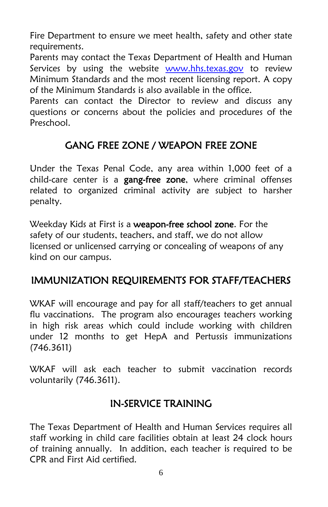Fire Department to ensure we meet health, safety and other state requirements.

Parents may contact the Texas Department of Health and Human Services by using the website [www.hhs.texas.gov](http://www.hhs.texas.gov/) to review Minimum Standards and the most recent licensing report. A copy of the Minimum Standards is also available in the office.

Parents can contact the Director to review and discuss any questions or concerns about the policies and procedures of the Preschool.

## GANG FREE ZONE / WEAPON FREE ZONE

Under the Texas Penal Code, any area within 1,000 feet of a child-care center is a gang-free zone, where criminal offenses related to organized criminal activity are subject to harsher penalty.

Weekday Kids at First is a weapon-free school zone. For the safety of our students, teachers, and staff, we do not allow licensed or unlicensed carrying or concealing of weapons of any kind on our campus.

## IMMUNIZATION REQUIREMENTS FOR STAFF/TEACHERS

WKAF will encourage and pay for all staff/teachers to get annual flu vaccinations. The program also encourages teachers working in high risk areas which could include working with children under 12 months to get HepA and Pertussis immunizations (746.3611)

WKAF will ask each teacher to submit vaccination records voluntarily (746.3611).

#### IN-SERVICE TRAINING

The Texas Department of Health and Human Services requires all staff working in child care facilities obtain at least 24 clock hours of training annually. In addition, each teacher is required to be CPR and First Aid certified.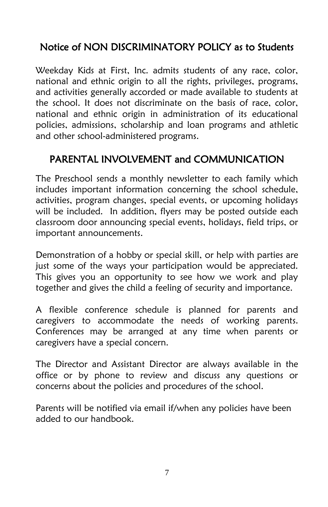## Notice of NON DISCRIMINATORY POLICY as to Students

Weekday Kids at First, Inc. admits students of any race, color, national and ethnic origin to all the rights, privileges, programs, and activities generally accorded or made available to students at the school. It does not discriminate on the basis of race, color, national and ethnic origin in administration of its educational policies, admissions, scholarship and loan programs and athletic and other school-administered programs.

## PARENTAL INVOLVEMENT and COMMUNICATION

The Preschool sends a monthly newsletter to each family which includes important information concerning the school schedule, activities, program changes, special events, or upcoming holidays will be included. In addition, flyers may be posted outside each classroom door announcing special events, holidays, field trips, or important announcements.

Demonstration of a hobby or special skill, or help with parties are just some of the ways your participation would be appreciated. This gives you an opportunity to see how we work and play together and gives the child a feeling of security and importance.

A flexible conference schedule is planned for parents and caregivers to accommodate the needs of working parents. Conferences may be arranged at any time when parents or caregivers have a special concern.

The Director and Assistant Director are always available in the office or by phone to review and discuss any questions or concerns about the policies and procedures of the school.

Parents will be notified via email if/when any policies have been added to our handbook.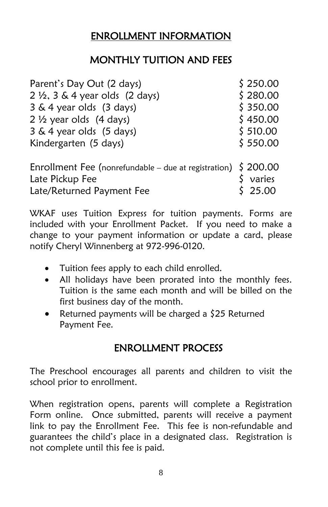## ENROLLMENT INFORMATION

## MONTHLY TUITION AND FEES

| Parent's Day Out (2 days)                                          | \$250.00 |
|--------------------------------------------------------------------|----------|
| $2 \frac{1}{2}$ , 3 & 4 year olds (2 days)                         | \$280.00 |
| 3 & 4 year olds (3 days)                                           | \$350.00 |
| $2 \frac{1}{2}$ year olds (4 days)                                 | \$450.00 |
| 3 & 4 year olds (5 days)                                           | \$510.00 |
| Kindergarten (5 days)                                              | \$550.00 |
| Enrollment Fee (nonrefundable – due at registration) $\int$ 200.00 |          |
| Late Pickup Fee                                                    | varies   |
| Late/Returned Payment Fee                                          | 25.00    |

WKAF uses Tuition Express for tuition payments. Forms are included with your Enrollment Packet. If you need to make a change to your payment information or update a card, please notify Cheryl Winnenberg at 972-996-0120.

- Tuition fees apply to each child enrolled.
- All holidays have been prorated into the monthly fees. Tuition is the same each month and will be billed on the first business day of the month.
- Returned payments will be charged a  $$25$  Returned Payment Fee.

## ENROLLMENT PROCESS

The Preschool encourages all parents and children to visit the school prior to enrollment.

When registration opens, parents will complete a Registration Form online. Once submitted, parents will receive a payment link to pay the Enrollment Fee. This fee is non-refundable and guarantees the child's place in a designated class. Registration is not complete until this fee is paid.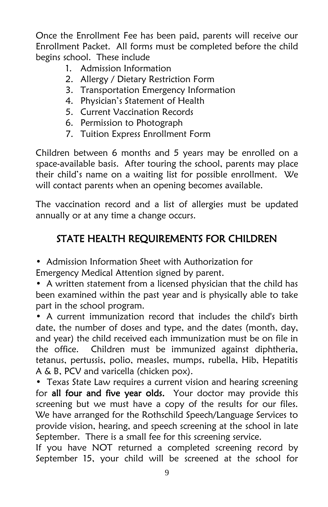Once the Enrollment Fee has been paid, parents will receive our Enrollment Packet. All forms must be completed before the child begins school. These include

- 1. Admission Information
- 2. Allergy / Dietary Restriction Form
- 3. Transportation Emergency Information
- 4. Physician's Statement of Health
- 5. Current Vaccination Records
- 6. Permission to Photograph
- 7. Tuition Express Enrollment Form

Children between 6 months and 5 years may be enrolled on a space-available basis. After touring the school, parents may place their child's name on a waiting list for possible enrollment. We will contact parents when an opening becomes available.

The vaccination record and a list of allergies must be updated annually or at any time a change occurs.

## STATE HEALTH REQUIREMENTS FOR CHILDREN

• Admission Information Sheet with Authorization for

Emergency Medical Attention signed by parent.

• A written statement from a licensed physician that the child has been examined within the past year and is physically able to take part in the school program.

• A current immunization record that includes the child's birth date, the number of doses and type, and the dates (month, day, and year) the child received each immunization must be on file in the office. Children must be immunized against diphtheria, tetanus, pertussis, polio, measles, mumps, rubella, Hib, Hepatitis A & B, PCV and varicella (chicken pox).

• Texas State Law requires a current vision and hearing screening for all four and five year olds. Your doctor may provide this screening but we must have a copy of the results for our files. We have arranged for the Rothschild Speech/Language Services to provide vision, hearing, and speech screening at the school in late September. There is a small fee for this screening service.

If you have NOT returned a completed screening record by September 15, your child will be screened at the school for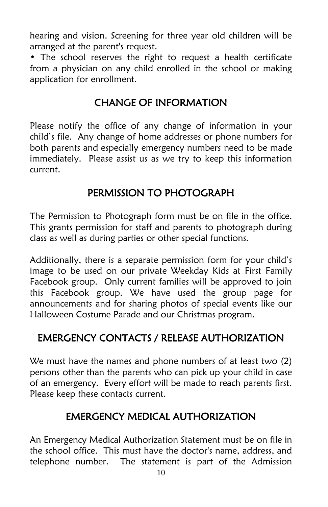hearing and vision. Screening for three year old children will be arranged at the parent's request.

• The school reserves the right to request a health certificate from a physician on any child enrolled in the school or making application for enrollment.

## CHANGE OF INFORMATION

Please notify the office of any change of information in your child's file. Any change of home addresses or phone numbers for both parents and especially emergency numbers need to be made immediately. Please assist us as we try to keep this information current.

## PERMISSION TO PHOTOGRAPH

The Permission to Photograph form must be on file in the office. This grants permission for staff and parents to photograph during class as well as during parties or other special functions.

Additionally, there is a separate permission form for your child's image to be used on our private Weekday Kids at First Family Facebook group. Only current families will be approved to join this Facebook group. We have used the group page for announcements and for sharing photos of special events like our Halloween Costume Parade and our Christmas program.

## EMERGENCY CONTACTS / RELEASE AUTHORIZATION

We must have the names and phone numbers of at least two (2) persons other than the parents who can pick up your child in case of an emergency. Every effort will be made to reach parents first. Please keep these contacts current.

## EMERGENCY MEDICAL AUTHORIZATION

An Emergency Medical Authorization Statement must be on file in the school office. This must have the doctor's name, address, and telephone number. The statement is part of the Admission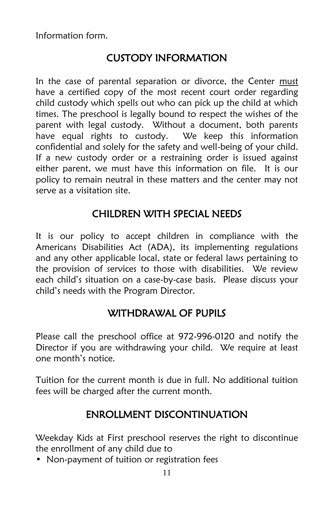Information form.

## CUSTODY INFORMATION

In the case of parental separation or divorce, the Center must have a certified copy of the most recent court order regarding child custody which spells out who can pick up the child at which times. The preschool is legally bound to respect the wishes of the parent with legal custody. Without a document, both parents have equal rights to custody. We keep this information confidential and solely for the safety and well-being of your child. If a new custody order or a restraining order is issued against either parent, we must have this information on file. It is our policy to remain neutral in these matters and the center may not serve as a visitation site.

## CHILDREN WITH SPECIAL NEEDS

It is our policy to accept children in compliance with the Americans Disabilities Act (ADA), its implementing regulations and any other applicable local, state or federal laws pertaining to the provision of services to those with disabilities. We review each child's situation on a case-by-case basis. Please discuss your child's needs with the Program Director.

## WITHDRAWAL OF PUPILS

Please call the preschool office at 972-996-0120 and notify the Director if you are withdrawing your child. We require at least one month's notice.

Tuition for the current month is due in full. No additional tuition fees will be charged after the current month.

## ENROLLMENT DISCONTINUATION

Weekday Kids at First preschool reserves the right to discontinue the enrollment of any child due to

• Non-payment of tuition or registration fees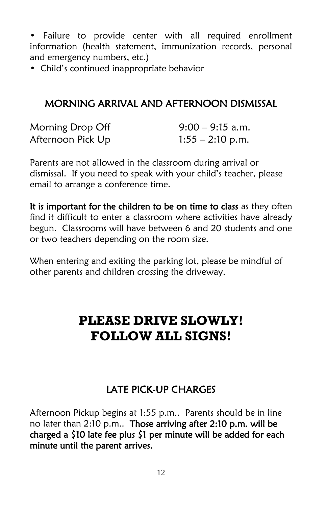• Failure to provide center with all required enrollment information (health statement, immunization records, personal and emergency numbers, etc.)

• Child's continued inappropriate behavior

## MORNING ARRIVAL AND AFTERNOON DISMISSAL

| Morning Drop Off  | $9:00 - 9:15$ a.m. |
|-------------------|--------------------|
| Afternoon Pick Up | $1:55 - 2:10$ p.m. |

Parents are not allowed in the classroom during arrival or dismissal. If you need to speak with your child's teacher, please email to arrange a conference time.

It is important for the children to be on time to class as they often find it difficult to enter a classroom where activities have already begun. Classrooms will have between 6 and 20 students and one or two teachers depending on the room size.

When entering and exiting the parking lot, please be mindful of other parents and children crossing the driveway.

# **PLEASE DRIVE SLOWLY! FOLLOW ALL SIGNS!**

## LATE PICK-UP CHARGES

Afternoon Pickup begins at 1:55 p.m.. Parents should be in line no later than 2:10 p.m.. Those arriving after 2:10 p.m. will be charged a \$10 late fee plus \$1 per minute will be added for each minute until the parent arrives.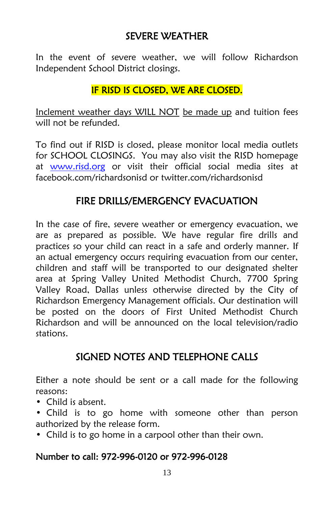## SEVERE WEATHER

In the event of severe weather, we will follow Richardson Independent School District closings.

#### IF RISD IS CLOSED, WE ARE CLOSED.

Inclement weather days WILL NOT be made up and tuition fees will not be refunded.

To find out if RISD is closed, please monitor local media outlets for SCHOOL CLOSINGS. You may also visit the RISD homepage at [www.risd.org](http://www.risd.org/) or visit their official social media sites at facebook.com/richardsonisd or twitter.com/richardsonisd

#### FIRE DRILLS/EMERGENCY EVACUATION

In the case of fire, severe weather or emergency evacuation, we are as prepared as possible. We have regular fire drills and practices so your child can react in a safe and orderly manner. If an actual emergency occurs requiring evacuation from our center, children and staff will be transported to our designated shelter area at Spring Valley United Methodist Church, 7700 Spring Valley Road, Dallas unless otherwise directed by the City of Richardson Emergency Management officials. Our destination will be posted on the doors of First United Methodist Church Richardson and will be announced on the local television/radio stations.

## SIGNED NOTES AND TELEPHONE CALLS

Either a note should be sent or a call made for the following reasons:

- Child is absent.
- Child is to go home with someone other than person authorized by the release form.
- Child is to go home in a carpool other than their own.

#### Number to call: 972-996-0120 or 972-996-0128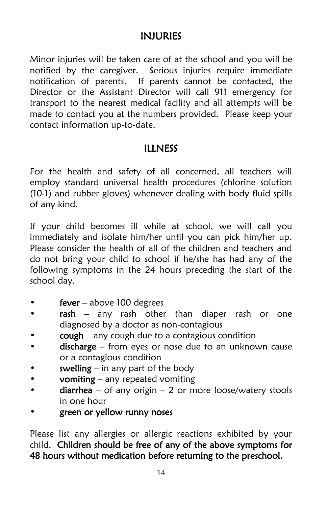#### INJURIES

Minor injuries will be taken care of at the school and you will be notified by the caregiver. Serious injuries require immediate notification of parents. If parents cannot be contacted, the Director or the Assistant Director will call 911 emergency for transport to the nearest medical facility and all attempts will be made to contact you at the numbers provided. Please keep your contact information up-to-date.

#### ILLNESS

For the health and safety of all concerned, all teachers will employ standard universal health procedures (chlorine solution (10-1) and rubber gloves) whenever dealing with body fluid spills of any kind.

If your child becomes ill while at school, we will call you immediately and isolate him/her until you can pick him/her up. Please consider the health of all of the children and teachers and do not bring your child to school if he/she has had any of the following symptoms in the 24 hours preceding the start of the school day.

- $fever above 100 degrees$
- rash any rash other than diaper rash or one diagnosed by a doctor as non-contagious
- $cough$  any cough due to a contagious condition
- discharge from eyes or nose due to an unknown cause or a contagious condition
- swelling  $-$  in any part of the body
- vomiting any repeated vomiting
- diarrhea of any origin 2 or more loose/watery stools in one hour
- green or yellow runny noses

Please list any allergies or allergic reactions exhibited by your child. Children should be free of any of the above symptoms for 48 hours without medication before returning to the preschool.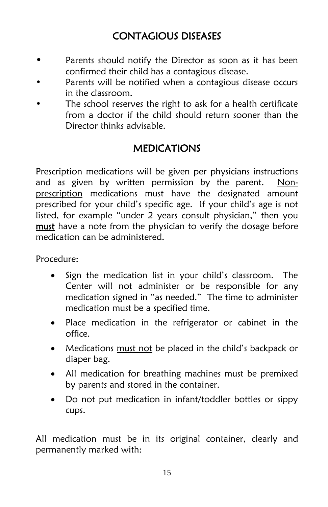## CONTAGIOUS DISEASES

- Parents should notify the Director as soon as it has been confirmed their child has a contagious disease.
- Parents will be notified when a contagious disease occurs in the classroom.
- The school reserves the right to ask for a health certificate from a doctor if the child should return sooner than the Director thinks advisable.

## MEDICATIONS

Prescription medications will be given per physicians instructions and as given by written permission by the parent. Nonprescription medications must have the designated amount prescribed for your child's specific age. If your child's age is not listed, for example "under 2 years consult physician," then you must have a note from the physician to verify the dosage before medication can be administered.

Procedure:

- Sign the medication list in your child's classroom. The Center will not administer or be responsible for any medication signed in "as needed." The time to administer medication must be a specified time.
- Place medication in the refrigerator or cabinet in the office.
- Medications must not be placed in the child's backpack or diaper bag.
- All medication for breathing machines must be premixed by parents and stored in the container.
- Do not put medication in infant/toddler bottles or sippy cups.

All medication must be in its original container, clearly and permanently marked with: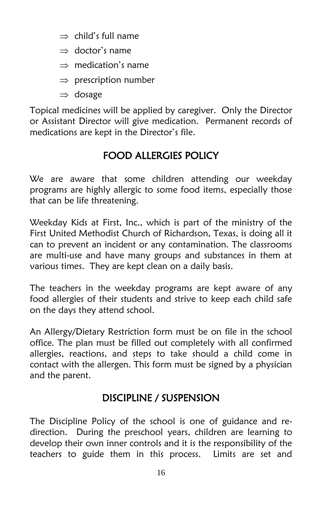- $\Rightarrow$  child's full name
- $\Rightarrow$  doctor's name
- $\Rightarrow$  medication's name
- $\Rightarrow$  prescription number
- $\Rightarrow$  dosage

Topical medicines will be applied by caregiver. Only the Director or Assistant Director will give medication. Permanent records of medications are kept in the Director's file.

## FOOD ALLERGIES POLICY

We are aware that some children attending our weekday programs are highly allergic to some food items, especially those that can be life threatening.

Weekday Kids at First, Inc., which is part of the ministry of the First United Methodist Church of Richardson, Texas, is doing all it can to prevent an incident or any contamination. The classrooms are multi-use and have many groups and substances in them at various times. They are kept clean on a daily basis.

The teachers in the weekday programs are kept aware of any food allergies of their students and strive to keep each child safe on the days they attend school.

An Allergy/Dietary Restriction form must be on file in the school office. The plan must be filled out completely with all confirmed allergies, reactions, and steps to take should a child come in contact with the allergen. This form must be signed by a physician and the parent.

## DISCIPLINE / SUSPENSION

The Discipline Policy of the school is one of guidance and redirection. During the preschool years, children are learning to develop their own inner controls and it is the responsibility of the teachers to guide them in this process. Limits are set and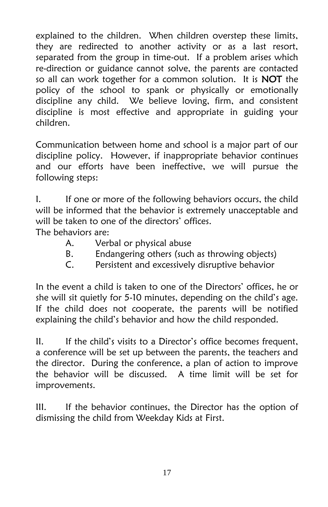explained to the children. When children overstep these limits, they are redirected to another activity or as a last resort, separated from the group in time-out. If a problem arises which re-direction or guidance cannot solve, the parents are contacted so all can work together for a common solution. It is **NOT** the policy of the school to spank or physically or emotionally discipline any child. We believe loving, firm, and consistent discipline is most effective and appropriate in guiding your children.

Communication between home and school is a major part of our discipline policy. However, if inappropriate behavior continues and our efforts have been ineffective, we will pursue the following steps:

I. If one or more of the following behaviors occurs, the child will be informed that the behavior is extremely unacceptable and will be taken to one of the directors' offices.

The behaviors are:

- A. Verbal or physical abuse
- B. Endangering others (such as throwing objects)
- C. Persistent and excessively disruptive behavior

In the event a child is taken to one of the Directors' offices, he or she will sit quietly for 5-10 minutes, depending on the child's age. If the child does not cooperate, the parents will be notified explaining the child's behavior and how the child responded.

II. If the child's visits to a Director's office becomes frequent, a conference will be set up between the parents, the teachers and the director. During the conference, a plan of action to improve the behavior will be discussed. A time limit will be set for improvements.

III. If the behavior continues, the Director has the option of dismissing the child from Weekday Kids at First.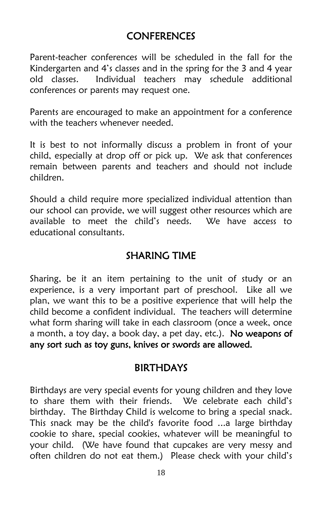## **CONFERENCES**

Parent-teacher conferences will be scheduled in the fall for the Kindergarten and 4's classes and in the spring for the 3 and 4 year old classes. Individual teachers may schedule additional conferences or parents may request one.

Parents are encouraged to make an appointment for a conference with the teachers whenever needed.

It is best to not informally discuss a problem in front of your child, especially at drop off or pick up. We ask that conferences remain between parents and teachers and should not include children.

Should a child require more specialized individual attention than our school can provide, we will suggest other resources which are available to meet the child's needs. We have access to educational consultants.

## SHARING TIME

Sharing, be it an item pertaining to the unit of study or an experience, is a very important part of preschool. Like all we plan, we want this to be a positive experience that will help the child become a confident individual. The teachers will determine what form sharing will take in each classroom (once a week, once a month, a toy day, a book day, a pet day, etc.). No weapons of any sort such as toy guns, knives or swords are allowed.

#### BIRTHDAYS

Birthdays are very special events for young children and they love to share them with their friends. We celebrate each child's birthday. The Birthday Child is welcome to bring a special snack. This snack may be the child's favorite food ...a large birthday cookie to share, special cookies, whatever will be meaningful to your child. (We have found that cupcakes are very messy and often children do not eat them.) Please check with your child's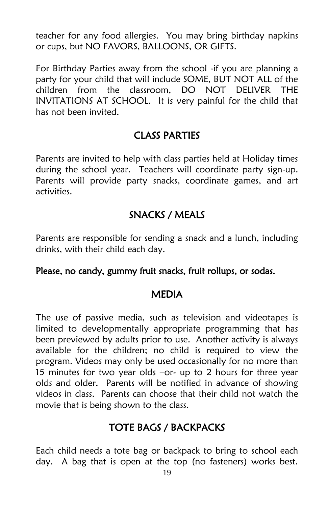teacher for any food allergies. You may bring birthday napkins or cups, but NO FAVORS, BALLOONS, OR GIFTS.

For Birthday Parties away from the school -if you are planning a party for your child that will include SOME, BUT NOT ALL of the children from the classroom, DO NOT DELIVER THE INVITATIONS AT SCHOOL. It is very painful for the child that has not been invited.

#### CLASS PARTIES

Parents are invited to help with class parties held at Holiday times during the school year. Teachers will coordinate party sign-up. Parents will provide party snacks, coordinate games, and art activities.

## SNACKS / MEALS

Parents are responsible for sending a snack and a lunch, including drinks, with their child each day.

#### Please, no candy, gummy fruit snacks, fruit rollups, or sodas.

#### MEDIA

The use of passive media, such as television and videotapes is limited to developmentally appropriate programming that has been previewed by adults prior to use. Another activity is always available for the children; no child is required to view the program. Videos may only be used occasionally for no more than 15 minutes for two year olds –or- up to 2 hours for three year olds and older. Parents will be notified in advance of showing videos in class. Parents can choose that their child not watch the movie that is being shown to the class.

## TOTE BAGS / BACKPACKS

Each child needs a tote bag or backpack to bring to school each day. A bag that is open at the top (no fasteners) works best.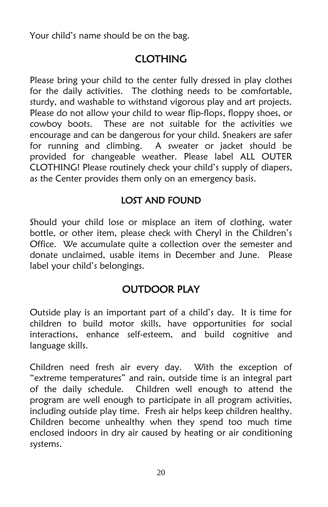Your child's name should be on the bag.

## CLOTHING

Please bring your child to the center fully dressed in play clothes for the daily activities. The clothing needs to be comfortable, sturdy, and washable to withstand vigorous play and art projects. Please do not allow your child to wear flip-flops, floppy shoes, or cowboy boots. These are not suitable for the activities we encourage and can be dangerous for your child. Sneakers are safer for running and climbing. A sweater or jacket should be provided for changeable weather. Please label ALL OUTER CLOTHING! Please routinely check your child's supply of diapers, as the Center provides them only on an emergency basis.

#### LOST AND FOUND

Should your child lose or misplace an item of clothing, water bottle, or other item, please check with Cheryl in the Children's Office. We accumulate quite a collection over the semester and donate unclaimed, usable items in December and June. Please label your child's belongings.

## OUTDOOR PLAY

Outside play is an important part of a child's day. It is time for children to build motor skills, have opportunities for social interactions, enhance self-esteem, and build cognitive and language skills.

Children need fresh air every day. With the exception of "extreme temperatures" and rain, outside time is an integral part of the daily schedule. Children well enough to attend the program are well enough to participate in all program activities, including outside play time. Fresh air helps keep children healthy. Children become unhealthy when they spend too much time enclosed indoors in dry air caused by heating or air conditioning systems.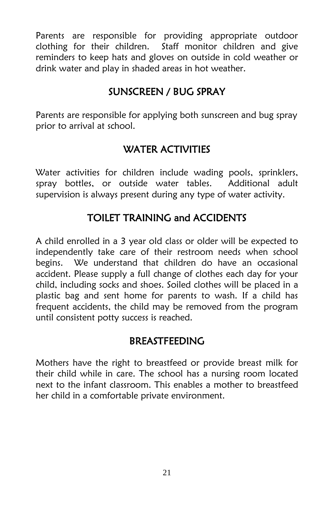Parents are responsible for providing appropriate outdoor clothing for their children. Staff monitor children and give reminders to keep hats and gloves on outside in cold weather or drink water and play in shaded areas in hot weather.

## SUNSCREEN / BUG SPRAY

Parents are responsible for applying both sunscreen and bug spray prior to arrival at school.

## WATER ACTIVITIES

Water activities for children include wading pools, sprinklers, spray bottles, or outside water tables. Additional adult supervision is always present during any type of water activity.

## TOILET TRAINING and ACCIDENTS

A child enrolled in a 3 year old class or older will be expected to independently take care of their restroom needs when school begins. We understand that children do have an occasional accident. Please supply a full change of clothes each day for your child, including socks and shoes. Soiled clothes will be placed in a plastic bag and sent home for parents to wash. If a child has frequent accidents, the child may be removed from the program until consistent potty success is reached.

#### BREASTFEEDING

Mothers have the right to breastfeed or provide breast milk for their child while in care. The school has a nursing room located next to the infant classroom. This enables a mother to breastfeed her child in a comfortable private environment.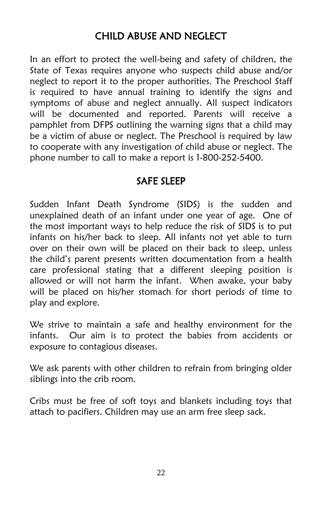## CHILD ABUSE AND NEGLECT

In an effort to protect the well-being and safety of children, the State of Texas requires anyone who suspects child abuse and/or neglect to report it to the proper authorities. The Preschool Staff is required to have annual training to identify the signs and symptoms of abuse and neglect annually. All suspect indicators will be documented and reported. Parents will receive a pamphlet from DFPS outlining the warning signs that a child may be a victim of abuse or neglect. The Preschool is required by law to cooperate with any investigation of child abuse or neglect. The phone number to call to make a report is 1-800-252-5400.

#### SAFE SLEEP

Sudden Infant Death Syndrome (SIDS) is the sudden and unexplained death of an infant under one year of age. One of the most important ways to help reduce the risk of SIDS is to put infants on his/her back to sleep. All infants not yet able to turn over on their own will be placed on their back to sleep, unless the child's parent presents written documentation from a health care professional stating that a different sleeping position is allowed or will not harm the infant. When awake, your baby will be placed on his/her stomach for short periods of time to play and explore.

We strive to maintain a safe and healthy environment for the infants. Our aim is to protect the babies from accidents or exposure to contagious diseases.

We ask parents with other children to refrain from bringing older siblings into the crib room.

Cribs must be free of soft toys and blankets including toys that attach to pacifiers. Children may use an arm free sleep sack.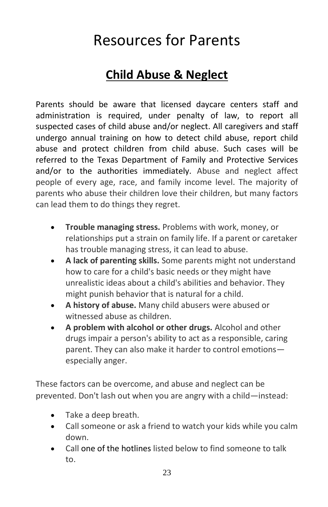# Resources for Parents

## **Child Abuse & Neglect**

Parents should be aware that licensed daycare centers staff and administration is required, under penalty of law, to report all suspected cases of child abuse and/or neglect. All caregivers and staff undergo annual training on how to detect child abuse, report child abuse and protect children from child abuse. Such cases will be referred to the Texas Department of Family and Protective Services and/or to the authorities immediately. Abuse and neglect affect people of every age, race, and family income level. The majority of parents who abuse their children love their children, but many factors can lead them to do things they regret.

- **Trouble managing stress.** Problems with work, money, or relationships put a strain on family life. If a parent or caretaker has trouble managing stress, it can lead to abuse.
- **A lack of parenting skills.** Some parents might not understand how to care for a child's basic needs or they might have unrealistic ideas about a child's abilities and behavior. They might punish behavior that is natural for a child.
- **A history of abuse.** Many child abusers were abused or witnessed abuse as children.
- **A problem with alcohol or other drugs.** Alcohol and other drugs impair a person's ability to act as a responsible, caring parent. They can also make it harder to control emotions especially anger.

These factors can be overcome, and abuse and neglect can be prevented. Don't lash out when you are angry with a child—instead:

- Take a deep breath.
- Call someone or ask a friend to watch your kids while you calm down.
- Call [one of the hotlines](http://www.helpandhope.org/hotlines.html) listed below to find someone to talk to.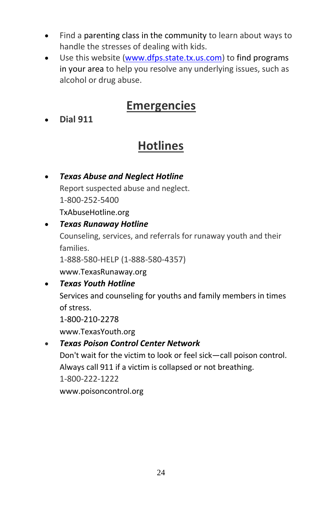- Find a [parenting class in the community](http://www.helpandhope.org/find-help.html) to learn about ways to handle the stresses of dealing with kids.
- Use this website [\(www.dfps.state.tx.us.com\)](http://www.dfps.state.tx.us.com/) to find programs [in your area](http://www.helpandhope.org/programs-search.asp) to help you resolve any underlying issues, such as alcohol or drug abuse.

# **Emergencies**

**Dial 911**

# **Hotlines**

 *[Texas Abuse and Neglect Hotline](http://txabusehotline.org/)* Report suspected abuse and neglect. 1-800-252-5400 [TxAbuseHotline.org](http://txabusehotline.org/)

#### *[Texas Runaway Hotline](http://www.texasrunaway.org/)*

Counseling, services, and referrals for runaway youth and their families.

1-888-580-HELP (1-888-580-4357)

[www.TexasRunaway.org](http://www.texasrunaway.org/)

#### *[Texas Youth Hotline](http://www.texasyouth.org/)*

Services and counseling for youths and family members in times of stress.

1-800-210-2278

[www.TexasYouth.org](http://www.texasyouth.org/)

#### *[Texas Poison Control Center Network](http://www.poisoncontrol.org/)*

Don't wait for the victim to look or feel sick—call poison control. Always call 911 if a victim is collapsed or not breathing. 1-800-222-1222 [www.poisoncontrol.org](http://www.poisoncontrol.org/)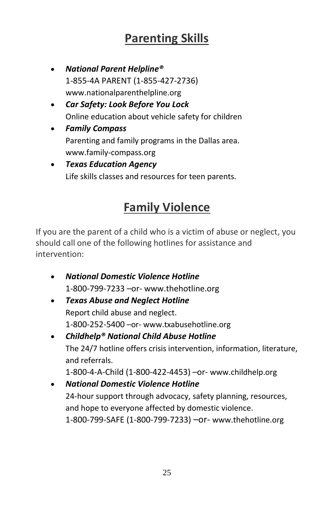# **Parenting Skills**

- *[National Parent Helpline®](../../../Documents%20and%20Settings/Allison_B.FUMCR/My%20Documents/BLOCKEDnationalparenthelpline.org/BLOCKED)* [1-855-4A PARENT](tel:18554272736) (1-855-427-2736) www.nationalparenthelpline.org
- *[Car Safety: Look Before You Lock](http://www.dfps.state.tx.us/Prevention_and_Early_Intervention/Vehicle_Safety/default.asp)* Online education about vehicle safety for children
- *[Family Compass](http://www.family-compass.org/)* Parenting and family programs in the Dallas area. www.family-compass.org
- *[Texas Education Agency](http://www.tea.state.tx.us/life_skills_links.html)* Life skills classes and resources for teen parents.

# **Family Violence**

If you are the parent of a child who is a victim of abuse or neglect, you should call one of the following hotlines for assistance and intervention:

- *National Domestic Violence Hotline* [1-800-799-7233](tel:18007997233) –or- www.thehotline.org
- *[Texas Abuse and Neglect Hotline](http://www.txabusehotline.org/)* Report child abuse and neglect. [1-800-252-5400](tel:18002525400) –or- [www.txabusehotline.org](http://www.txabusehotline.org/)
- *[Childhelp® National Child Abuse Hotline](http://www.childhelp.org/)* The 24/7 hotline offers crisis intervention, information, literature, and referrals. [1-800-4-A-Child \(1-800-422-4453\)](tel:18004224453) –or- [www.childhelp.org](http://www.childhelp.org/)
- *[National Domestic Violence Hotline](http://www.thehotline.org/)* 24-hour support through advocacy, safety planning, resources, and hope to everyone affected by domestic violence. [1-800-799-SAFE \(1-800-799-7233\)](tel:18007997233) –or- [www.thehotline.org](http://www.thehotline.org/)